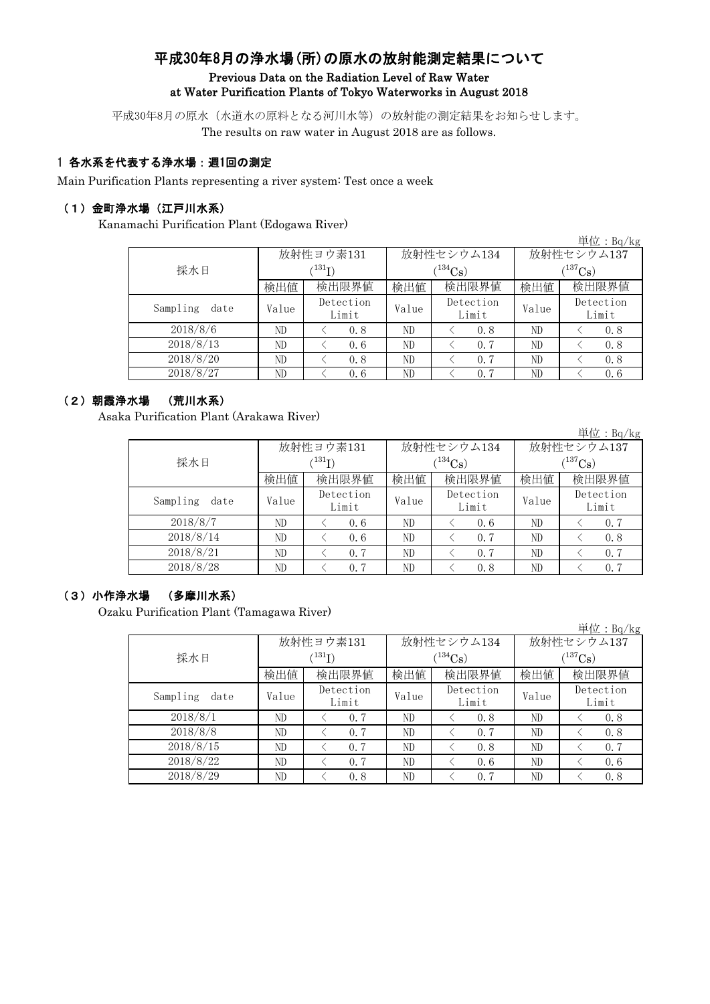# 平成30年8月の浄水場(所)の原水の放射能測定結果について Previous Data on the Radiation Level of Raw Water at Water Purification Plants of Tokyo Waterworks in August 2018

平成30年8月の原水(水道水の原料となる河川水等)の放射能の測定結果をお知らせします。 The results on raw water in August 2018 are as follows.

## 1 各水系を代表する浄水場:週1回の測定

Main Purification Plants representing a river system: Test once a week

#### (1)金町浄水場(江戸川水系)

Kanamachi Purification Plant (Edogawa River)

|                   |       |                             |       |                    |                       | 単 <u>位:Bq/kg</u>   |  |
|-------------------|-------|-----------------------------|-------|--------------------|-----------------------|--------------------|--|
|                   |       | 放射性ヨウ素131                   |       | 放射性セシウム134         | 放射性セシウム137            |                    |  |
| 採水日               |       | $^{\prime 131} \mathrm{I})$ |       | $(134)$ Cs)        | $(^{137}\mathrm{Cs})$ |                    |  |
|                   | 検出値   | 検出限界値                       | 検出値   | 検出限界値              | 検出値                   | 検出限界値              |  |
| Sampling<br>date  | Value | Detection<br>Limit          | Value | Detection<br>Limit | Value                 | Detection<br>Limit |  |
| 2018/8/6          | ND    | 0.8                         | ND    | 0.8                | ND                    | 0.8                |  |
| 2018/8/13         | ND    | 0.6                         | ND    | 0.7                | ND                    | 0.8                |  |
| 2018/8/20         | ND    | 0.8                         | ND    | 0.7                | ND                    | 0.8                |  |
| $2018\sqrt{8/27}$ | ND    | 0.6                         | ND    | 0.7                | ND                    | 0, 6               |  |

## (2)朝霞浄水場 (荒川水系)

Asaka Purification Plant (Arakawa River)

単位:Bq/kg 検出値 | 検出値 | 検出限界値 | 検出値  $V$ alue  $V$ <sup>Detection</sup> Value  $V$ <sup>1</sup> ND  $\vert$   $\langle$  0.6 ND  $\vert$   $\langle$  0.6 ND  $\vert$   $\langle$  0.7 ND < 0.6 ND < 0.7 ND < 0.8 ND  $\vert$   $\langle$  0.7  $\vert$  ND  $\vert$   $\langle$  0.7  $\vert$  ND  $\vert$   $\langle$  0.7 ND  $\vert$   $\langle$  0.7  $\vert$  ND  $\vert$   $\langle$  0.8  $\vert$  ND  $\vert$   $\langle$  0.7 Detection Limit Detection Limit Detection Limit 2018/8/7 2018/8/14 2018/8/28 2018/8/21 Sampling date 検出限界値 採水日 放射性ヨウ素131  $(^{131}\text{I})$ 放射性セシウム134  $(^{134}Cs)$ 放射性セシウム137  $(^{137}Cs)$ 

## (3)小作浄水場 (多摩川水系)

Ozaku Purification Plant (Tamagawa River)

|                  |       |                    |       |                    |              | 単位: Bq/kg          |  |
|------------------|-------|--------------------|-------|--------------------|--------------|--------------------|--|
|                  |       | 放射性ヨウ素131          |       | 放射性セシウム134         | 放射性セシウム137   |                    |  |
| 採水日              |       | $^{\prime 131}$ I) |       | $(134)$ Cs)        | $(^{137}Cs)$ |                    |  |
|                  | 検出値   | 検出限界値              | 検出値   | 検出限界値              | 検出値          | 検出限界値              |  |
| Sampling<br>date | Value | Detection<br>Limit | Value | Detection<br>Limit | Value        | Detection<br>Limit |  |
| 2018/8/1         | ND    | 0.7                | ND    | 0.8                | ND           | 0.8                |  |
| 2018/8/8         | ND    | 0.7                | ND    | 0.7                | ND           | 0.8                |  |
| 2018/8/15        | ND    | 0.7                | ND    | 0.8                | ND           | 0.7                |  |
| 2018/8/22        | ND    | 0.7                | ND    | 0.6                | ND           | 0.6                |  |
| 2018/8/29        | ND    | 0.8                | ND    | 0.7                | ND           | 0.8                |  |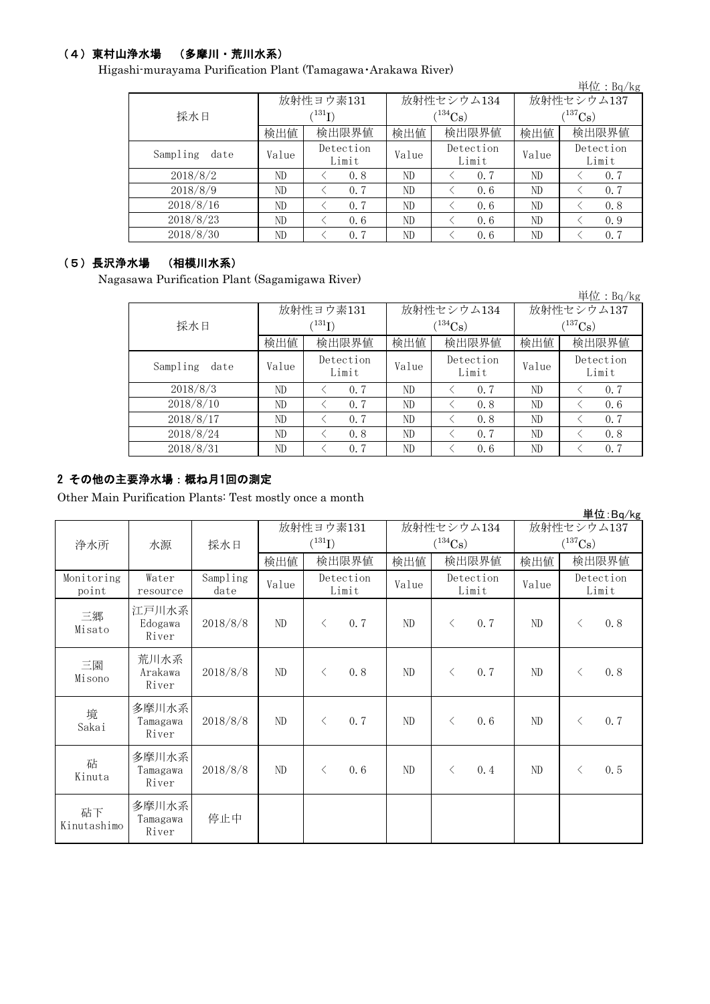## (4)東村山浄水場 (多摩川・荒川水系)

Higashi-murayama Purification Plant (Tamagawa・Arakawa River)

|                  |       |                            |       |                    |                       | 単位: Bq/kg          |  |
|------------------|-------|----------------------------|-------|--------------------|-----------------------|--------------------|--|
|                  |       | 放射性ヨウ素131                  |       | 放射性セシウム134         | 放射性セシウム137            |                    |  |
| 採水日              |       | $^{\prime131} \mathrm{I})$ |       | $(134)$ Cs         | $(^{137}\mathrm{Cs})$ |                    |  |
|                  | 検出値   | 検出限界値                      | 検出値   | 検出限界値              | 検出値                   | 検出限界値              |  |
| Sampling<br>date | Value | Detection<br>Limit         | Value | Detection<br>Limit | Value                 | Detection<br>Limit |  |
| 2018/8/2         | ND    | 0.8                        | ND    | 0.7                | ND                    | 0.7                |  |
| 2018/8/9         | ND    | 0.7                        | ND    | 0.6                | ND                    | 0.7                |  |
| 2018/8/16        | ND    | 0.7                        | ND    | 0.6                | ND                    | 0.8                |  |
| 2018/8/23        | ND    | 0.6                        | ND    | 0.6                | ND                    | 0.9                |  |
| 2018/8/30        | ND    | 0.7                        | ND    | 0.6                | ND                    | 0.7                |  |

## (5)長沢浄水場 (相模川水系)

Nagasawa Purification Plant (Sagamigawa River)

|                  |       |                        |       |                    |              | 単位: $Bq/kg$        |  |
|------------------|-------|------------------------|-------|--------------------|--------------|--------------------|--|
|                  |       | 放射性ヨウ素131              |       | 放射性セシウム134         | 放射性セシウム137   |                    |  |
| 採水日              |       | $\rm \langle ^{131}I)$ |       | $(134)$ Cs         | $(^{137}Cs)$ |                    |  |
|                  | 検出値   | 検出限界値                  | 検出値   | 検出限界値              | 検出値          | 検出限界値              |  |
| Sampling<br>date | Value | Detection<br>Limit     | Value | Detection<br>Limit | Value        | Detection<br>Limit |  |
| 2018/8/3         | ND    | 0.7                    | ND    | 0.7                | ND           | 0.7                |  |
| 2018/8/10        | ND    | 0.7                    | ND    | 0.8                | ND           | 0.6                |  |
| 2018/8/17        | ND    | 0.7                    | ND    | 0.8                | ND           | 0.7                |  |
| 2018/8/24        | ND    | 0.8                    | ND    | 0.7                | ND           | 0.8                |  |
| 2018/8/31        | ND    | 0.7                    | ND    | 0.6                | ND           | 0.7                |  |

## 2 その他の主要浄水場:概ね月1回の測定

Other Main Purification Plants: Test mostly once a month

|                     |                            |                  |       |                                   |                |                            |                            | 単位:Bq/kg           |
|---------------------|----------------------------|------------------|-------|-----------------------------------|----------------|----------------------------|----------------------------|--------------------|
| 浄水所                 | 採水日<br>水源                  |                  |       | 放射性ヨウ素131<br>$(^{131}\mathrm{I})$ |                | 放射性セシウム134<br>$(^{134}Cs)$ | 放射性セシウム137<br>$(^{137}Cs)$ |                    |
|                     |                            |                  | 検出値   | 検出限界値                             | 検出値            | 検出限界値                      | 検出値                        | 検出限界値              |
| Monitoring<br>point | Water<br>resource          | Sampling<br>date | Value | Detection<br>Limit                | Value          | Detection<br>Limit         | Value                      | Detection<br>Limit |
| 三郷<br>Misato        | 江戸川水系<br>Edogawa<br>River  | 2018/8/8         | ND    | 0.7<br>$\lt$                      | ND             | 0.7<br>$\langle$           | ND                         | 0.8<br>$\langle$   |
| 三園<br>Misono        | 荒川水系<br>Arakawa<br>River   | 2018/8/8         | ND    | 0.8<br>$\lt$                      | ND             | 0.7<br>$\langle$           | ND                         | 0.8<br>$\langle$   |
| 境<br>Sakai          | 多摩川水系<br>Tamagawa<br>River | 2018/8/8         | ND    | 0.7<br>$\langle$                  | N <sub>D</sub> | 0.6<br>$\langle$           | ND                         | 0.7<br>$\langle$   |
| 砧<br>Kinuta         | 多摩川水系<br>Tamagawa<br>River | 2018/8/8         | ND    | 0, 6<br>$\langle$                 | ND             | 0.4<br>$\langle$           | ND                         | 0.5<br>$\langle$   |
| 砧下<br>Kinutashimo   | 多摩川水系<br>Tamagawa<br>River | 停止中              |       |                                   |                |                            |                            |                    |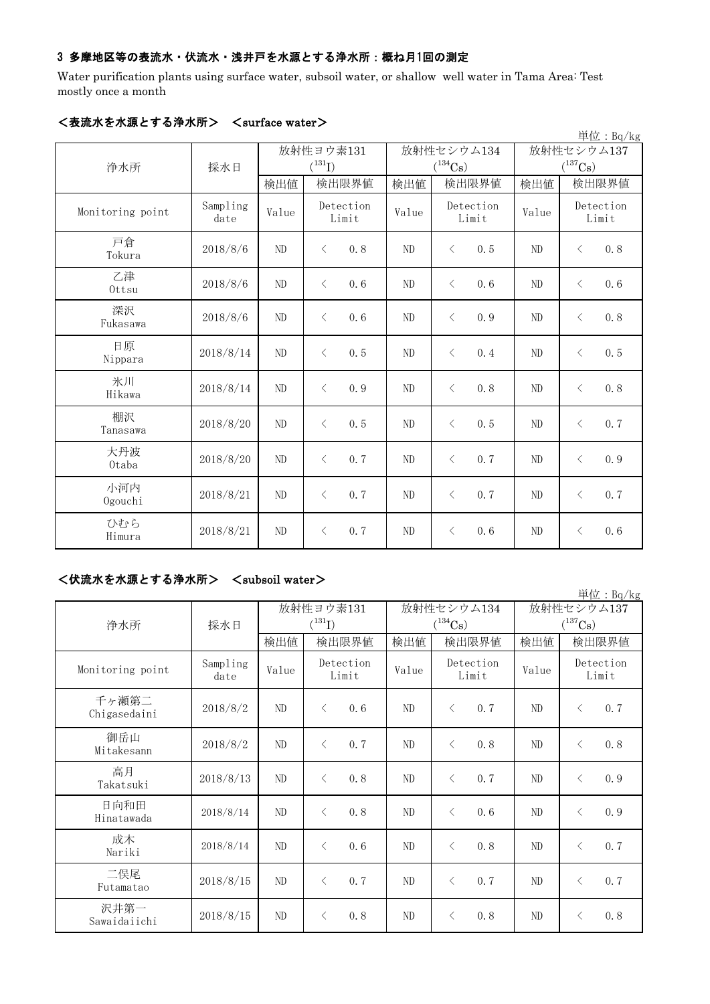## 3 多摩地区等の表流水・伏流水・浅井戸を水源とする浄水所:概ね月1回の測定

Water purification plants using surface water, subsoil water, or shallow well water in Tama Area: Test mostly once a month

| $\sqrt{3}$ ullaut Waltl $\gamma$<br>単位: Bq/kg |                  |                |                      |       |                                |                |                                |  |  |
|-----------------------------------------------|------------------|----------------|----------------------|-------|--------------------------------|----------------|--------------------------------|--|--|
|                                               |                  |                | 放射性ヨウ素131            |       | 放射性セシウム134                     | 放射性セシウム137     |                                |  |  |
| 浄水所                                           | 採水日              | 検出値            | $(^{131}I)$<br>検出限界値 | 検出値   | $(^{134}\mathrm{Cs})$<br>検出限界値 | 検出値            | $(^{137}\mathrm{Cs})$<br>検出限界値 |  |  |
| Monitoring point                              | Sampling<br>date | Value          | Detection<br>Limit   | Value | Detection<br>Limit             | Value          | Detection<br>Limit             |  |  |
| 戸倉<br>Tokura                                  | 2018/8/6         | ND             | 0.8<br>$\langle$     | ND    | 0.5<br>$\langle$               | ND             | 0.8<br>$\lt$                   |  |  |
| 乙津<br>Ottsu                                   | 2018/8/6         | ND             | $\langle$<br>0.6     | ND    | 0.6<br>$\langle$               | ND             | $\langle$<br>0.6               |  |  |
| 深沢<br>Fukasawa                                | 2018/8/6         | ND             | $\langle$<br>0.6     | ND    | $\langle$<br>0.9               | ND             | $\langle$<br>0.8               |  |  |
| 日原<br>Nippara                                 | 2018/8/14        | ND             | $\langle$<br>0, 5    | ND    | $\langle$<br>0.4               | ND             | 0.5<br>$\lt$                   |  |  |
| 氷川<br>Hikawa                                  | 2018/8/14        | ND             | 0.9<br>$\langle$     | ND    | 0.8<br>$\langle$               | ND             | 0.8<br>$\langle$               |  |  |
| 棚沢<br>Tanasawa                                | 2018/8/20        | N <sub>D</sub> | 0.5<br>$\langle$     | ND    | 0.5<br>$\langle$               | N <sub>D</sub> | 0.7<br>$\lt$                   |  |  |
| 大丹波<br>0taba                                  | 2018/8/20        | ND             | 0.7<br>$\langle$     | ND    | $\langle$<br>0.7               | ND             | $\langle$<br>0.9               |  |  |
| 小河内<br>Ogouchi                                | 2018/8/21        | ND             | 0.7<br>$\langle$     | ND    | 0.7<br>$\langle$               | ND             | 0.7<br>$\lt$                   |  |  |
| ひむら<br>Himura                                 | 2018/8/21        | ND             | 0.7<br>$\langle$     | ND    | $\langle$<br>0.6               | ND             | $\langle$<br>0.6               |  |  |

## <表流水を水源とする浄水所> <surface water>

#### <伏流水を水源とする浄水所> <subsoil water>

|                       |                  |           |                                     |       |                    |            | 単位: Bq/kg             |
|-----------------------|------------------|-----------|-------------------------------------|-------|--------------------|------------|-----------------------|
|                       |                  | 放射性ヨウ素131 |                                     |       | 放射性セシウム134         | 放射性セシウム137 |                       |
| 浄水所                   | 採水日              |           | $(^{131}I)$                         |       | $(^{134}Cs)$       |            | $(^{137}\mathrm{Cs})$ |
|                       |                  | 検出値       | 検出限界値                               | 検出値   | 検出限界値              | 検出値        | 検出限界値                 |
| Monitoring point      | Sampling<br>date | Value     | Detection<br>Limit                  | Value | Detection<br>Limit | Value      | Detection<br>Limit    |
| 千ヶ瀬第二<br>Chigasedaini | 2018/8/2         | ND        | $\langle$<br>0.6                    | ND    | 0.7<br>$\langle$   | ND         | 0.7<br>$\langle$      |
| 御岳山<br>Mitakesann     | 2018/8/2         | ND        | 0.7<br>$\langle$                    | ND    | $\langle$<br>0.8   | ND         | 0.8<br>$\langle$      |
| 高月<br>Takatsuki       | 2018/8/13        | ND        | 0.8<br>$\langle$                    | ND    | $\langle$<br>0, 7  | ND         | 0.9<br>$\langle$      |
| 日向和田<br>Hinatawada    | 2018/8/14        | ND        | 0.8<br>$\langle$                    | ND    | $\langle$<br>0.6   | ND         | 0.9<br>$\langle$      |
| 成木<br>Nariki          | 2018/8/14        | ND        | 0.6<br>$\langle$                    | ND    | 0.8<br>$\langle$   | ND         | 0.7<br>$\lt$          |
| 二俣尾<br>Futamatao      | 2018/8/15        | ND        | 0.7<br>$\langle$                    | ND    | 0.7<br>$\langle$   | ND         | 0.7<br>$\langle$      |
| 沢井第一<br>Sawaidaiichi  | 2018/8/15        | ND        | 0.8<br>$\left\langle \right\rangle$ | ND    | $\langle$<br>0.8   | ND         | $\lt$<br>0.8          |